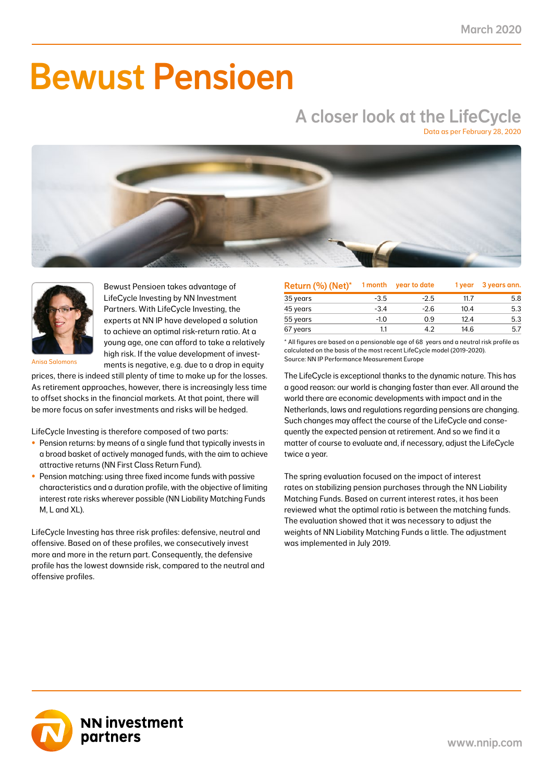# Bewust Pensioen

## A closer look at the LifeCycle

Data as per February 28, 2020





Bewust Pensioen takes advantage of LifeCycle Investing by NN Investment Partners. With LifeCycle Investing, the experts at NN IP have developed a solution to achieve an optimal risk-return ratio. At a young age, one can afford to take a relatively high risk. If the value development of investments is negative, e.g. due to a drop in equity

Anisa Salomons

prices, there is indeed still plenty of time to make up for the losses. As retirement approaches, however, there is increasingly less time to offset shocks in the financial markets. At that point, there will be more focus on safer investments and risks will be hedged.

LifeCycle Investing is therefore composed of two parts:

- Pension returns: by means of a single fund that typically invests in a broad basket of actively managed funds, with the aim to achieve attractive returns (NN First Class Return Fund).
- Pension matching: using three fixed income funds with passive characteristics and a duration profile, with the objective of limiting interest rate risks wherever possible (NN Liability Matching Funds M, L and XL).

LifeCycle Investing has three risk profiles: defensive, neutral and offensive. Based on of these profiles, we consecutively invest more and more in the return part. Consequently, the defensive profile has the lowest downside risk, compared to the neutral and offensive profiles.

| Return (%) (Net)* | 1 month | year to date | 1 year | 3 years ann. |
|-------------------|---------|--------------|--------|--------------|
| 35 years          | $-3.5$  | $-2.5$       | 11.7   | 5.8          |
| 45 years          | $-3.4$  | $-2.6$       | 10.4   | 5.3          |
| 55 years          | $-1.0$  | 0.9          | 12.4   | 5.3          |
| 67 years          | 1.1     | 4.2          | 14.6   | 5.7          |

\* All figures are based on a pensionable age of 68 years and a neutral risk profile as calculated on the basis of the most recent LifeCycle model (2019-2020). Source: NN IP Performance Measurement Europe

The LifeCycle is exceptional thanks to the dynamic nature. This has a good reason: our world is changing faster than ever. All around the world there are economic developments with impact and in the Netherlands, laws and regulations regarding pensions are changing. Such changes may affect the course of the LifeCycle and consequently the expected pension at retirement. And so we find it a matter of course to evaluate and, if necessary, adjust the LifeCycle twice a year.

The spring evaluation focused on the impact of interest rates on stabilizing pension purchases through the NN Liability Matching Funds. Based on current interest rates, it has been reviewed what the optimal ratio is between the matching funds. The evaluation showed that it was necessary to adjust the weights of NN Liability Matching Funds a little. The adjustment was implemented in July 2019.

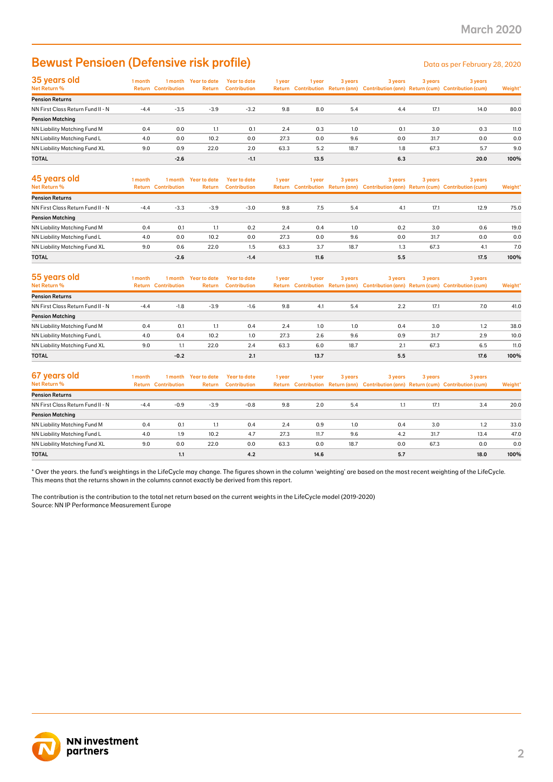### Bewust Pensioen (Defensive risk profile) Data as per February 28, 2020

| 35 years old                      | I month |                            | 1 month Year to date | Year to date        | 1 year | I year | 3 years | 3 years | 3 years | 3 years                                                                             |         |
|-----------------------------------|---------|----------------------------|----------------------|---------------------|--------|--------|---------|---------|---------|-------------------------------------------------------------------------------------|---------|
| Net Return %                      |         | <b>Return Contribution</b> | <b>Return</b>        | <b>Contribution</b> |        |        |         |         |         | Return Contribution Return (ann) Contribution (ann) Return (cum) Contribution (cum) | Weight* |
| <b>Pension Returns</b>            |         |                            |                      |                     |        |        |         |         |         |                                                                                     |         |
| NN First Class Return Fund II - N | $-4.4$  | $-3.5$                     | $-3.9$               | $-3.2$              | 9.8    | 8.0    | 5.4     | 4.4     | 17.1    | 14.0                                                                                | 80.0    |
| <b>Pension Matching</b>           |         |                            |                      |                     |        |        |         |         |         |                                                                                     |         |
| NN Liability Matching Fund M      | 0.4     | 0.0                        | 1.1                  | 0.1                 | 2.4    | 0.3    | 1.0     | 0.1     | 3.0     | 0.3                                                                                 | 11.0    |
| NN Liability Matching Fund L      | 4.0     | 0.0                        | 10.2                 | 0.0                 | 27.3   | 0.0    | 9.6     | 0.0     | 31.7    | 0.0                                                                                 | 0.0     |
| NN Liability Matching Fund XL     | 9.0     | 0.9                        | 22.0                 | 2.0                 | 63.3   | 5.2    | 18.7    | 1.8     | 67.3    | 5.7                                                                                 | 9.0     |
| <b>TOTAL</b>                      |         | $-2.6$                     |                      | $-1.1$              |        | 13.5   |         | 6.3     |         | 20.0                                                                                | 100%    |

| 45 years old<br>Net Return %      | l month | 1 month<br><b>Return Contribution</b> | Year to date<br>Return | Year to date<br><b>Contribution</b> | 1 year | 1 year | 3 years | 3 years | 3 years | 3 years<br>Return Contribution Return (ann) Contribution (ann) Return (cum) Contribution (cum) | Weight* |
|-----------------------------------|---------|---------------------------------------|------------------------|-------------------------------------|--------|--------|---------|---------|---------|------------------------------------------------------------------------------------------------|---------|
| <b>Pension Returns</b>            |         |                                       |                        |                                     |        |        |         |         |         |                                                                                                |         |
| NN First Class Return Fund II - N | $-4.4$  | $-3.3$                                | $-3.9$                 | $-3.0$                              | 9.8    | 7.5    | 5.4     | 4.1     | 17.1    | 12.9                                                                                           | 75.0    |
| <b>Pension Matching</b>           |         |                                       |                        |                                     |        |        |         |         |         |                                                                                                |         |
| NN Liability Matching Fund M      | 0.4     | 0.1                                   | 1.1                    | 0.2                                 | 2.4    | 0.4    | 1.0     | 0.2     | 3.0     | 0.6                                                                                            | 19.0    |
| NN Liability Matching Fund L      | 4.0     | 0.0                                   | 10.2                   | 0.0                                 | 27.3   | 0.0    | 9.6     | 0.0     | 31.7    | 0.0                                                                                            | 0.0     |
| NN Liability Matching Fund XL     | 9.0     | 0.6                                   | 22.0                   | 1.5                                 | 63.3   | 3.7    | 18.7    | 1.3     | 67.3    | 4.1                                                                                            | 7.0     |
| <b>TOTAL</b>                      |         | $-2.6$                                |                        | $-1.4$                              |        | 11.6   |         | 5.5     |         | 17.5                                                                                           | 100%    |

| 55 years old<br>Net Return %      | l month | 1 month<br><b>Return Contribution</b> | Year to date<br><b>Return</b> | Year to date<br>Contribution | 1 year | 1 vear | 3 years | 3 years | 3 years | 3 years<br>Return Contribution Return (ann) Contribution (ann) Return (cum) Contribution (cum) | Weight* |
|-----------------------------------|---------|---------------------------------------|-------------------------------|------------------------------|--------|--------|---------|---------|---------|------------------------------------------------------------------------------------------------|---------|
| <b>Pension Returns</b>            |         |                                       |                               |                              |        |        |         |         |         |                                                                                                |         |
| NN First Class Return Fund II - N | $-4.4$  | $-1.8$                                | $-3.9$                        | $-1.6$                       | 9.8    | 4.1    | 5.4     | 2.2     | 17.1    | 7.0                                                                                            | 41.0    |
| <b>Pension Matching</b>           |         |                                       |                               |                              |        |        |         |         |         |                                                                                                |         |
| NN Liability Matching Fund M      | 0.4     | 0.1                                   | 1.1                           | 0.4                          | 2.4    | 1.0    | 1.0     | 0.4     | 3.0     | 1.2                                                                                            | 38.0    |
| NN Liability Matching Fund L      | 4.0     | 0.4                                   | 10.2                          | 1.0                          | 27.3   | 2.6    | 9.6     | 0.9     | 31.7    | 2.9                                                                                            | 10.0    |
| NN Liability Matching Fund XL     | 9.0     | 1.1                                   | 22.0                          | 2.4                          | 63.3   | 6.0    | 18.7    | 2.1     | 67.3    | 6.5                                                                                            | 11.0    |
| <b>TOTAL</b>                      |         | $-0.2$                                |                               | 2.1                          |        | 13.7   |         | 5.5     |         | 17.6                                                                                           | 100%    |

| 67 years old<br>Net Return %      | I month<br>Return | 1 month<br><b>Contribution</b> | Year to date<br><b>Return</b> | Year to date<br><b>Contribution</b> | 1 year | 1 year | 3 years | 3 years | 3 years | 3 years<br>Return Contribution Return (ann) Contribution (ann) Return (cum) Contribution (cum) | Weight* |
|-----------------------------------|-------------------|--------------------------------|-------------------------------|-------------------------------------|--------|--------|---------|---------|---------|------------------------------------------------------------------------------------------------|---------|
| <b>Pension Returns</b>            |                   |                                |                               |                                     |        |        |         |         |         |                                                                                                |         |
| NN First Class Return Fund II - N | $-4.4$            | $-0.9$                         | $-3.9$                        | $-0.8$                              | 9.8    | 2.0    | 5.4     | . L. I  | 17.1    | 3.4                                                                                            | 20.0    |
| <b>Pension Matching</b>           |                   |                                |                               |                                     |        |        |         |         |         |                                                                                                |         |
| NN Liability Matching Fund M      | 0.4               | 0.1                            | 1.1                           | 0.4                                 | 2.4    | 0.9    | 1.0     | 0.4     | 3.0     | 1.2                                                                                            | 33.0    |
| NN Liability Matching Fund L      | 4.0               | 1.9                            | 10.2                          | 4.7                                 | 27.3   | 11.7   | 9.6     | 4.2     | 31.7    | 13.4                                                                                           | 47.0    |
| NN Liability Matching Fund XL     | 9.0               | 0.0                            | 22.0                          | 0.0                                 | 63.3   | 0.0    | 18.7    | 0.0     | 67.3    | 0.0                                                                                            | 0.0     |
| <b>TOTAL</b>                      |                   | 1.1                            |                               | 4.2                                 |        | 14.6   |         | 5.7     |         | 18.0                                                                                           | 100%    |

\* Over the years. the fund's weightings in the LifeCycle may change. The figures shown in the column 'weighting' are based on the most recent weighting of the LifeCycle. This means that the returns shown in the columns cannot exactly be derived from this report.

The contribution is the contribution to the total net return based on the current weights in the LifeCycle model (2019-2020) Source: NN IP Performance Measurement Europe

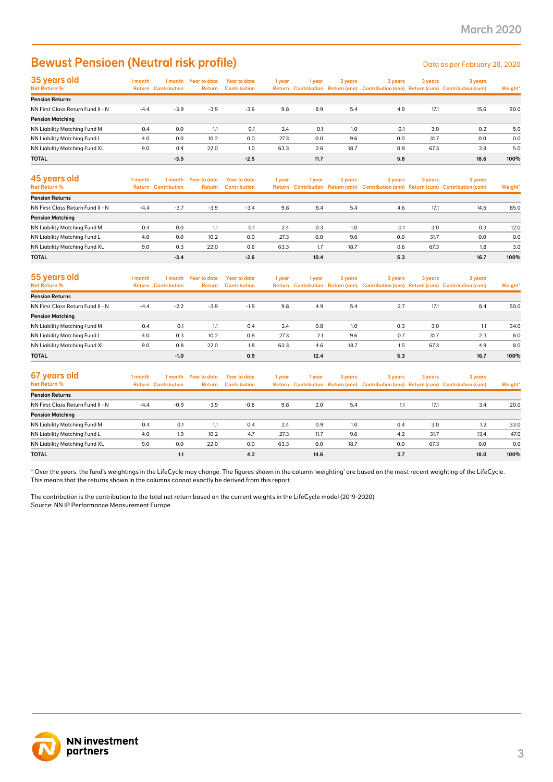### Bewust Pensioen (Neutral risk profile) Data as per February 28, 2020

| 35 years old                      | l month | 1 month                    | Year to date | <b>Year to date</b> | 1 year | 1 vear | 3 years | 3 years | 3 years | 3 years                                                                             |         |
|-----------------------------------|---------|----------------------------|--------------|---------------------|--------|--------|---------|---------|---------|-------------------------------------------------------------------------------------|---------|
| Net Return %                      |         | <b>Return Contribution</b> | Return       | <b>Contribution</b> |        |        |         |         |         | Return Contribution Return (ann) Contribution (ann) Return (cum) Contribution (cum) | Weight* |
| <b>Pension Returns</b>            |         |                            |              |                     |        |        |         |         |         |                                                                                     |         |
| NN First Class Return Fund II - N | $-4.4$  | $-3.9$                     | $-3.9$       | $-3.6$              | 9.8    | 8.9    | 5.4     | 4.9     | 17.1    | 15.6                                                                                | 90.0    |
| <b>Pension Matching</b>           |         |                            |              |                     |        |        |         |         |         |                                                                                     |         |
| NN Liability Matching Fund M      | 0.4     | 0.0                        | 1.1          | 0.1                 | 2.4    | 0.1    | 1.0     | 0.1     | 3.0     | 0.2                                                                                 | 5.0     |
| NN Liability Matching Fund L      | 4.0     | 0.0                        | 10.2         | 0.0                 | 27.3   | 0.0    | 9.6     | 0.0     | 31.7    | 0.0                                                                                 | 0.0     |
| NN Liability Matching Fund XL     | 9.0     | 0.4                        | 22.0         | 1.0                 | 63.3   | 2.6    | 18.7    | 0.9     | 67.3    | 2.8                                                                                 | 5.0     |
| <b>TOTAL</b>                      |         | $-3.5$                     |              | $-2.5$              |        | 11.7   |         | 5.8     |         | 18.6                                                                                | 100%    |

| 45 years old<br>Net Return %      | 1 month | 1 month<br><b>Return Contribution</b> | Year to date<br><b>Return</b> | Year to date<br><b>Contribution</b> | 1 year | 1 vear | 3 years | 3 years | 3 years | 3 years<br>Return Contribution Return (ann) Contribution (ann) Return (cum) Contribution (cum) | Weight* |
|-----------------------------------|---------|---------------------------------------|-------------------------------|-------------------------------------|--------|--------|---------|---------|---------|------------------------------------------------------------------------------------------------|---------|
| <b>Pension Returns</b>            |         |                                       |                               |                                     |        |        |         |         |         |                                                                                                |         |
| NN First Class Return Fund II - N | $-4.4$  | $-3.7$                                | $-3.9$                        | $-3.4$                              | 9.8    | 8.4    | 5.4     | 4.6     | 17.1    | 14.6                                                                                           | 85.0    |
| <b>Pension Matching</b>           |         |                                       |                               |                                     |        |        |         |         |         |                                                                                                |         |
| NN Liability Matching Fund M      | 0.4     | 0.0                                   | 1.1                           | 0.1                                 | 2.4    | 0.3    | 1.0     | 0.1     | 3.0     | 0.3                                                                                            | 12.0    |
| NN Liability Matching Fund L      | 4.0     | 0.0                                   | 10.2                          | 0.0                                 | 27.3   | 0.0    | 9.6     | 0.0     | 31.7    | 0.0                                                                                            | 0.0     |
| NN Liability Matching Fund XL     | 9.0     | 0.3                                   | 22.0                          | 0.6                                 | 63.3   | 1.7    | 18.7    | 0.6     | 67.3    | 1.8                                                                                            | 3.0     |
| <b>TOTAL</b>                      |         | $-3.4$                                |                               | $-2.6$                              |        | 10.4   |         | 5.3     |         | 16.7                                                                                           | 100%    |

| 55 years old<br>Net Return %      | l month | 1 month<br><b>Return Contribution</b> | <b>Year to date</b><br>Return | Year to date<br><b>Contribution</b> | 1 year | 1 year | 3 years | 3 years | 3 years | 3 years<br>Return Contribution Return (ann) Contribution (ann) Return (cum) Contribution (cum) | Weight* |
|-----------------------------------|---------|---------------------------------------|-------------------------------|-------------------------------------|--------|--------|---------|---------|---------|------------------------------------------------------------------------------------------------|---------|
| <b>Pension Returns</b>            |         |                                       |                               |                                     |        |        |         |         |         |                                                                                                |         |
| NN First Class Return Fund II - N | $-4.4$  | $-2.2$                                | $-3.9$                        | $-1.9$                              | 9.8    | 4.9    | 5.4     | 2.7     | 17.1    | 8.4                                                                                            | 50.0    |
| <b>Pension Matching</b>           |         |                                       |                               |                                     |        |        |         |         |         |                                                                                                |         |
| NN Liability Matching Fund M      | 0.4     | 0.1                                   | 1.1                           | 0.4                                 | 2.4    | 0.8    | 1.0     | 0.3     | 3.0     |                                                                                                | 34.0    |
| NN Liability Matching Fund L      | 4.0     | 0.3                                   | 10.2                          | 0.8                                 | 27.3   | 2.1    | 9.6     | 0.7     | 31.7    | 2.3                                                                                            | 8.0     |
| NN Liability Matching Fund XL     | 9.0     | 0.8                                   | 22.0                          | 1.8                                 | 63.3   | 4.6    | 18.7    | 1.5     | 67.3    | 4.9                                                                                            | 8.0     |
| <b>TOTAL</b>                      |         | $-1.0$                                |                               | 0.9                                 |        | 12.4   |         | 5.3     |         | 16.7                                                                                           | 100%    |

| 67 years old<br>Net Return %      | 1 month | 1 month<br><b>Return Contribution</b> | Year to date<br>Return | Year to date<br><b>Contribution</b> | 1 year | 1 year | 3 years | 3 years | 3 years | 3 years<br>Return Contribution Return (ann) Contribution (ann) Return (cum) Contribution (cum) | Weight* |
|-----------------------------------|---------|---------------------------------------|------------------------|-------------------------------------|--------|--------|---------|---------|---------|------------------------------------------------------------------------------------------------|---------|
| <b>Pension Returns</b>            |         |                                       |                        |                                     |        |        |         |         |         |                                                                                                |         |
| NN First Class Return Fund II - N | $-4.4$  | $-0.9$                                | $-3.9$                 | $-0.8$                              | 9.8    | 2.0    | 5.4     | 1.1     | 17.1    | 3.4                                                                                            | 20.0    |
| <b>Pension Matching</b>           |         |                                       |                        |                                     |        |        |         |         |         |                                                                                                |         |
| NN Liability Matching Fund M      | 0.4     | 0.1                                   | 1.1                    | 0.4                                 | 2.4    | 0.9    | 1.0     | 0.4     | 3.0     | 1.2                                                                                            | 33.0    |
| NN Liability Matching Fund L      | 4.0     | 1.9                                   | 10.2                   | 4.7                                 | 27.3   | 11.7   | 9.6     | 4.2     | 31.7    | 13.4                                                                                           | 47.0    |
| NN Liability Matching Fund XL     | 9.0     | 0.0                                   | 22.0                   | 0.0                                 | 63.3   | 0.0    | 18.7    | 0.0     | 67.3    | 0.0                                                                                            | 0.0     |
| <b>TOTAL</b>                      |         | 1.1                                   |                        | 4.2                                 |        | 14.6   |         | 5.7     |         | 18.0                                                                                           | 100%    |

\* Over the years. the fund's weightings in the LifeCycle may change. The figures shown in the column 'weighting' are based on the most recent weighting of the LifeCycle. This means that the returns shown in the columns cannot exactly be derived from this report.

The contribution is the contribution to the total net return based on the current weights in the LifeCycle model (2019-2020) Source: NN IP Performance Measurement Europe